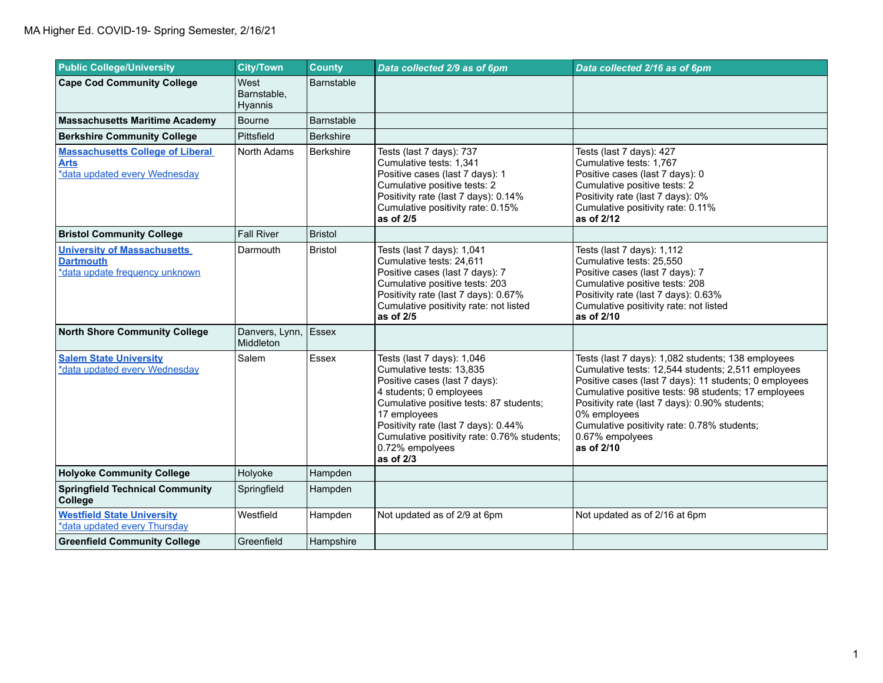| <b>Public College/University</b>                                                         | <b>City/Town</b>               | <b>County</b>     | Data collected 2/9 as of 6pm                                                                                                                                                                                                                                                                         | Data collected 2/16 as of 6pm                                                                                                                                                                                                                                                                                                                                                |
|------------------------------------------------------------------------------------------|--------------------------------|-------------------|------------------------------------------------------------------------------------------------------------------------------------------------------------------------------------------------------------------------------------------------------------------------------------------------------|------------------------------------------------------------------------------------------------------------------------------------------------------------------------------------------------------------------------------------------------------------------------------------------------------------------------------------------------------------------------------|
| <b>Cape Cod Community College</b>                                                        | West<br>Barnstable,<br>Hyannis | Barnstable        |                                                                                                                                                                                                                                                                                                      |                                                                                                                                                                                                                                                                                                                                                                              |
| <b>Massachusetts Maritime Academy</b>                                                    | Bourne                         | <b>Barnstable</b> |                                                                                                                                                                                                                                                                                                      |                                                                                                                                                                                                                                                                                                                                                                              |
| <b>Berkshire Community College</b>                                                       | Pittsfield                     | <b>Berkshire</b>  |                                                                                                                                                                                                                                                                                                      |                                                                                                                                                                                                                                                                                                                                                                              |
| <b>Massachusetts College of Liberal</b><br><b>Arts</b><br>*data updated every Wednesday  | North Adams                    | <b>Berkshire</b>  | Tests (last 7 days): 737<br>Cumulative tests: 1,341<br>Positive cases (last 7 days): 1<br>Cumulative positive tests: 2<br>Positivity rate (last 7 days): 0.14%<br>Cumulative positivity rate: 0.15%<br>as of 2/5                                                                                     | Tests (last 7 days): 427<br>Cumulative tests: 1,767<br>Positive cases (last 7 days): 0<br>Cumulative positive tests: 2<br>Positivity rate (last 7 days): 0%<br>Cumulative positivity rate: 0.11%<br>as of 2/12                                                                                                                                                               |
| <b>Bristol Community College</b>                                                         | <b>Fall River</b>              | <b>Bristol</b>    |                                                                                                                                                                                                                                                                                                      |                                                                                                                                                                                                                                                                                                                                                                              |
| <b>University of Massachusetts</b><br><b>Dartmouth</b><br>*data update frequency unknown | Darmouth                       | <b>Bristol</b>    | Tests (last 7 days): 1,041<br>Cumulative tests: 24,611<br>Positive cases (last 7 days): 7<br>Cumulative positive tests: 203<br>Positivity rate (last 7 days): 0.67%<br>Cumulative positivity rate: not listed<br>as of 2/5                                                                           | Tests (last 7 days): 1,112<br>Cumulative tests: 25,550<br>Positive cases (last 7 days): 7<br>Cumulative positive tests: 208<br>Positivity rate (last 7 days): 0.63%<br>Cumulative positivity rate: not listed<br>as of 2/10                                                                                                                                                  |
| <b>North Shore Community College</b>                                                     | Danvers, Lynn,<br>Middleton    | Essex             |                                                                                                                                                                                                                                                                                                      |                                                                                                                                                                                                                                                                                                                                                                              |
| <b>Salem State University</b><br>*data updated every Wednesday                           | Salem                          | Essex             | Tests (last 7 days): 1,046<br>Cumulative tests: 13.835<br>Positive cases (last 7 days):<br>4 students; 0 employees<br>Cumulative positive tests: 87 students;<br>17 employees<br>Positivity rate (last 7 days): 0.44%<br>Cumulative positivity rate: 0.76% students;<br>0.72% empolyees<br>as of 2/3 | Tests (last 7 days): 1,082 students; 138 employees<br>Cumulative tests: 12,544 students; 2,511 employees<br>Positive cases (last 7 days): 11 students; 0 employees<br>Cumulative positive tests: 98 students; 17 employees<br>Positivity rate (last 7 days): 0.90% students;<br>0% employees<br>Cumulative positivity rate: 0.78% students;<br>0.67% empolyees<br>as of 2/10 |
| <b>Holyoke Community College</b>                                                         | Holyoke                        | Hampden           |                                                                                                                                                                                                                                                                                                      |                                                                                                                                                                                                                                                                                                                                                                              |
| <b>Springfield Technical Community</b><br>College                                        | Springfield                    | Hampden           |                                                                                                                                                                                                                                                                                                      |                                                                                                                                                                                                                                                                                                                                                                              |
| <b>Westfield State University</b><br>*data updated every Thursday                        | Westfield                      | Hampden           | Not updated as of 2/9 at 6pm                                                                                                                                                                                                                                                                         | Not updated as of 2/16 at 6pm                                                                                                                                                                                                                                                                                                                                                |
| <b>Greenfield Community College</b>                                                      | Greenfield                     | Hampshire         |                                                                                                                                                                                                                                                                                                      |                                                                                                                                                                                                                                                                                                                                                                              |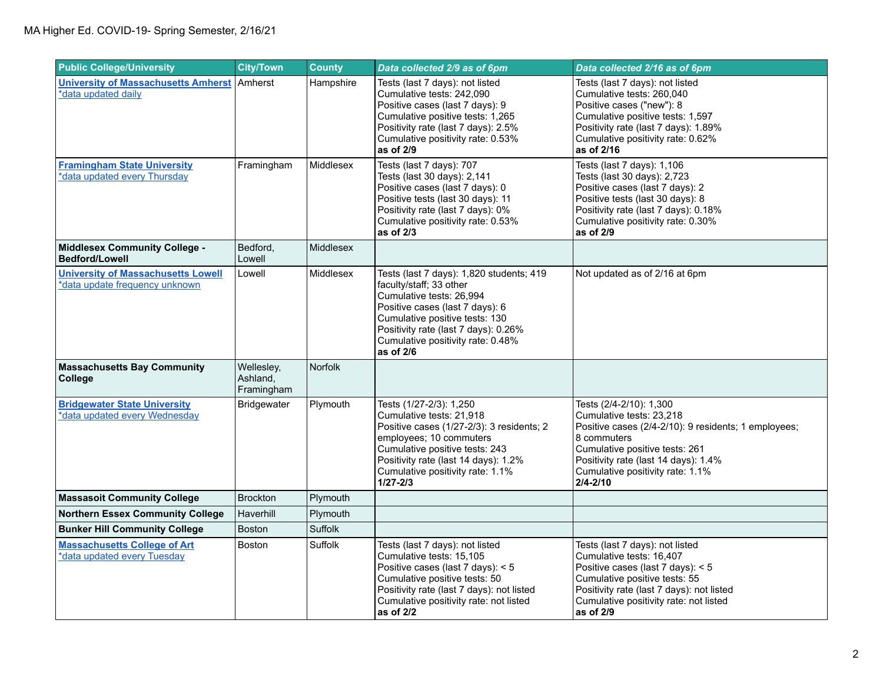| <b>Public College/University</b>                                            | <b>City/Town</b>                     | <b>County</b>    | Data collected 2/9 as of 6pm                                                                                                                                                                                                                                   | Data collected 2/16 as of 6pm                                                                                                                                                                                                                            |
|-----------------------------------------------------------------------------|--------------------------------------|------------------|----------------------------------------------------------------------------------------------------------------------------------------------------------------------------------------------------------------------------------------------------------------|----------------------------------------------------------------------------------------------------------------------------------------------------------------------------------------------------------------------------------------------------------|
| <b>University of Massachusetts Amherst</b><br>*data updated daily           | l Amherst                            | Hampshire        | Tests (last 7 days): not listed<br>Cumulative tests: 242,090<br>Positive cases (last 7 days): 9<br>Cumulative positive tests: 1,265<br>Positivity rate (last 7 days): 2.5%<br>Cumulative positivity rate: 0.53%<br>as of 2/9                                   | Tests (last 7 days): not listed<br>Cumulative tests: 260,040<br>Positive cases ("new"): 8<br>Cumulative positive tests: 1,597<br>Positivity rate (last 7 days): 1.89%<br>Cumulative positivity rate: 0.62%<br>as of 2/16                                 |
| <b>Framingham State University</b><br>*data updated every Thursday          | Framingham                           | Middlesex        | Tests (last 7 days): 707<br>Tests (last 30 days): 2,141<br>Positive cases (last 7 days): 0<br>Positive tests (last 30 days): 11<br>Positivity rate (last 7 days): 0%<br>Cumulative positivity rate: 0.53%<br>as of $2/3$                                       | Tests (last 7 days): 1,106<br>Tests (last 30 days): 2,723<br>Positive cases (last 7 days): 2<br>Positive tests (last 30 days): 8<br>Positivity rate (last 7 days): 0.18%<br>Cumulative positivity rate: 0.30%<br>as of 2/9                               |
| <b>Middlesex Community College -</b><br><b>Bedford/Lowell</b>               | Bedford,<br>Lowell                   | <b>Middlesex</b> |                                                                                                                                                                                                                                                                |                                                                                                                                                                                                                                                          |
| <b>University of Massachusetts Lowell</b><br>*data update frequency unknown | Lowell                               | Middlesex        | Tests (last 7 days): 1,820 students; 419<br>faculty/staff; 33 other<br>Cumulative tests: 26,994<br>Positive cases (last 7 days): 6<br>Cumulative positive tests: 130<br>Positivity rate (last 7 days): 0.26%<br>Cumulative positivity rate: 0.48%<br>as of 2/6 | Not updated as of 2/16 at 6pm                                                                                                                                                                                                                            |
| <b>Massachusetts Bay Community</b><br>College                               | Wellesley,<br>Ashland,<br>Framingham | Norfolk          |                                                                                                                                                                                                                                                                |                                                                                                                                                                                                                                                          |
| <b>Bridgewater State University</b><br>*data updated every Wednesday        | Bridgewater                          | Plymouth         | Tests (1/27-2/3): 1,250<br>Cumulative tests: 21,918<br>Positive cases (1/27-2/3): 3 residents; 2<br>employees; 10 commuters<br>Cumulative positive tests: 243<br>Positivity rate (last 14 days): 1.2%<br>Cumulative positivity rate: 1.1%<br>$1/27 - 2/3$      | Tests (2/4-2/10): 1,300<br>Cumulative tests: 23,218<br>Positive cases (2/4-2/10): 9 residents; 1 employees;<br>8 commuters<br>Cumulative positive tests: 261<br>Positivity rate (last 14 days): 1.4%<br>Cumulative positivity rate: 1.1%<br>$2/4 - 2/10$ |
| <b>Massasoit Community College</b>                                          | <b>Brockton</b>                      | Plymouth         |                                                                                                                                                                                                                                                                |                                                                                                                                                                                                                                                          |
| <b>Northern Essex Community College</b>                                     | Haverhill                            | Plymouth         |                                                                                                                                                                                                                                                                |                                                                                                                                                                                                                                                          |
| <b>Bunker Hill Community College</b>                                        | <b>Boston</b>                        | <b>Suffolk</b>   |                                                                                                                                                                                                                                                                |                                                                                                                                                                                                                                                          |
| <b>Massachusetts College of Art</b><br>*data updated every Tuesday          | Boston                               | Suffolk          | Tests (last 7 days): not listed<br>Cumulative tests: 15,105<br>Positive cases (last 7 days): $<$ 5<br>Cumulative positive tests: 50<br>Positivity rate (last 7 days): not listed<br>Cumulative positivity rate: not listed<br>as of 2/2                        | Tests (last 7 days): not listed<br>Cumulative tests: 16,407<br>Positive cases (last 7 days): < 5<br>Cumulative positive tests: 55<br>Positivity rate (last 7 days): not listed<br>Cumulative positivity rate: not listed<br>as of 2/9                    |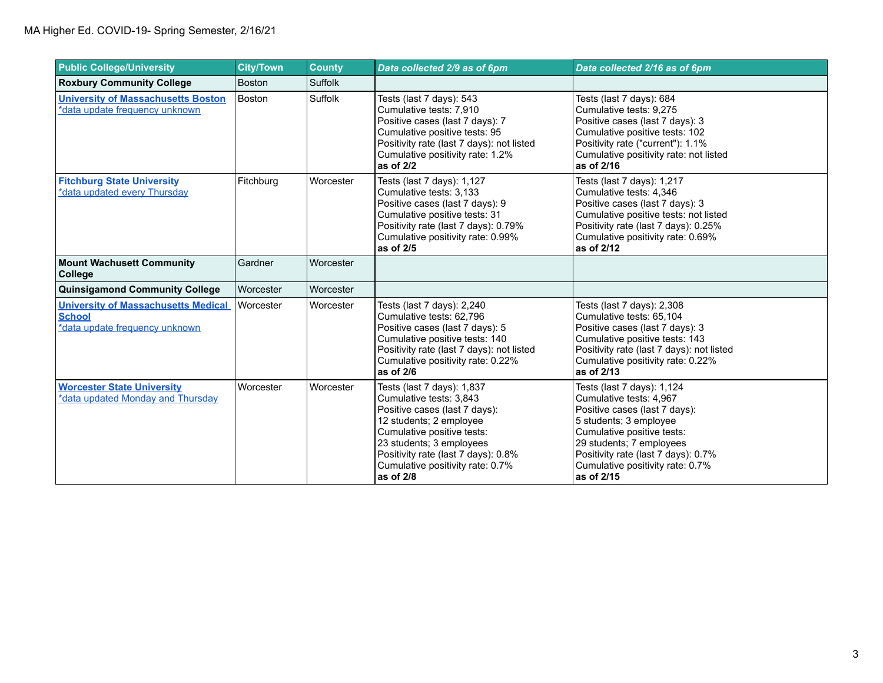| <b>Public College/University</b>                                                              | <b>City/Town</b> | <b>County</b> | Data collected 2/9 as of 6pm                                                                                                                                                                                                                                        | Data collected 2/16 as of 6pm                                                                                                                                                                                                                                       |
|-----------------------------------------------------------------------------------------------|------------------|---------------|---------------------------------------------------------------------------------------------------------------------------------------------------------------------------------------------------------------------------------------------------------------------|---------------------------------------------------------------------------------------------------------------------------------------------------------------------------------------------------------------------------------------------------------------------|
| <b>Roxbury Community College</b>                                                              | <b>Boston</b>    | Suffolk       |                                                                                                                                                                                                                                                                     |                                                                                                                                                                                                                                                                     |
| <b>University of Massachusetts Boston</b><br>*data update frequency unknown                   | Boston           | Suffolk       | Tests (last 7 days): 543<br>Cumulative tests: 7,910<br>Positive cases (last 7 days): 7<br>Cumulative positive tests: 95<br>Positivity rate (last 7 days): not listed<br>Cumulative positivity rate: 1.2%<br>as of 2/2                                               | Tests (last 7 days): 684<br>Cumulative tests: 9,275<br>Positive cases (last 7 days): 3<br>Cumulative positive tests: 102<br>Positivity rate ("current"): 1.1%<br>Cumulative positivity rate: not listed<br>as of 2/16                                               |
| <b>Fitchburg State University</b><br>*data updated every Thursday                             | Fitchburg        | Worcester     | Tests (last 7 days): 1,127<br>Cumulative tests: 3,133<br>Positive cases (last 7 days): 9<br>Cumulative positive tests: 31<br>Positivity rate (last 7 days): 0.79%<br>Cumulative positivity rate: 0.99%<br>as of 2/5                                                 | Tests (last 7 days): 1,217<br>Cumulative tests: 4,346<br>Positive cases (last 7 days): 3<br>Cumulative positive tests: not listed<br>Positivity rate (last 7 days): 0.25%<br>Cumulative positivity rate: 0.69%<br>as of 2/12                                        |
| <b>Mount Wachusett Community</b><br><b>College</b>                                            | Gardner          | Worcester     |                                                                                                                                                                                                                                                                     |                                                                                                                                                                                                                                                                     |
| <b>Quinsigamond Community College</b>                                                         | Worcester        | Worcester     |                                                                                                                                                                                                                                                                     |                                                                                                                                                                                                                                                                     |
| <b>University of Massachusetts Medical</b><br><b>School</b><br>*data update frequency unknown | Worcester        | Worcester     | Tests (last 7 days): 2,240<br>Cumulative tests: 62.796<br>Positive cases (last 7 days): 5<br>Cumulative positive tests: 140<br>Positivity rate (last 7 days): not listed<br>Cumulative positivity rate: 0.22%<br>as of $2/6$                                        | Tests (last 7 days): 2,308<br>Cumulative tests: 65,104<br>Positive cases (last 7 days): 3<br>Cumulative positive tests: 143<br>Positivity rate (last 7 days): not listed<br>Cumulative positivity rate: 0.22%<br>as of 2/13                                         |
| <b>Worcester State University</b><br>*data updated Monday and Thursday                        | Worcester        | Worcester     | Tests (last 7 days): 1,837<br>Cumulative tests: 3,843<br>Positive cases (last 7 days):<br>12 students; 2 employee<br>Cumulative positive tests:<br>23 students; 3 employees<br>Positivity rate (last 7 days): 0.8%<br>Cumulative positivity rate: 0.7%<br>as of 2/8 | Tests (last 7 days): 1,124<br>Cumulative tests: 4.967<br>Positive cases (last 7 days):<br>5 students; 3 employee<br>Cumulative positive tests:<br>29 students; 7 employees<br>Positivity rate (last 7 days): 0.7%<br>Cumulative positivity rate: 0.7%<br>as of 2/15 |